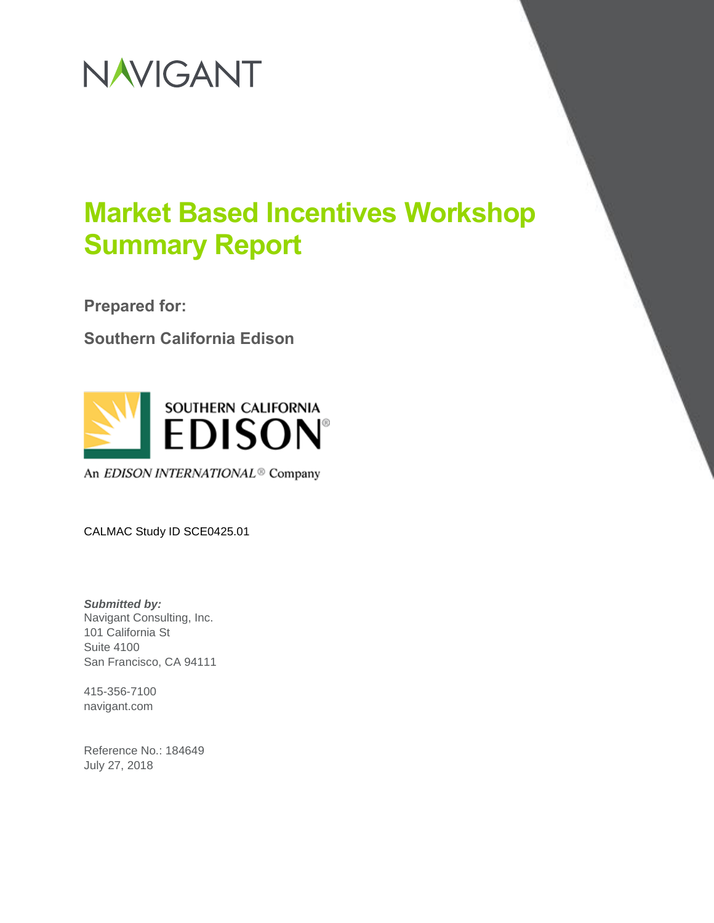

**Prepared for:**

**Southern California Edison** 



An EDISON INTERNATIONAL<sup>®</sup> Company

CALMAC Study ID SCE0425.01

*Submitted by:* Navigant Consulting, Inc. 101 California St Suite 4100 San Francisco, CA 94111

415-356-7100 navigant.com

Reference No.: 184649 July 27, 2018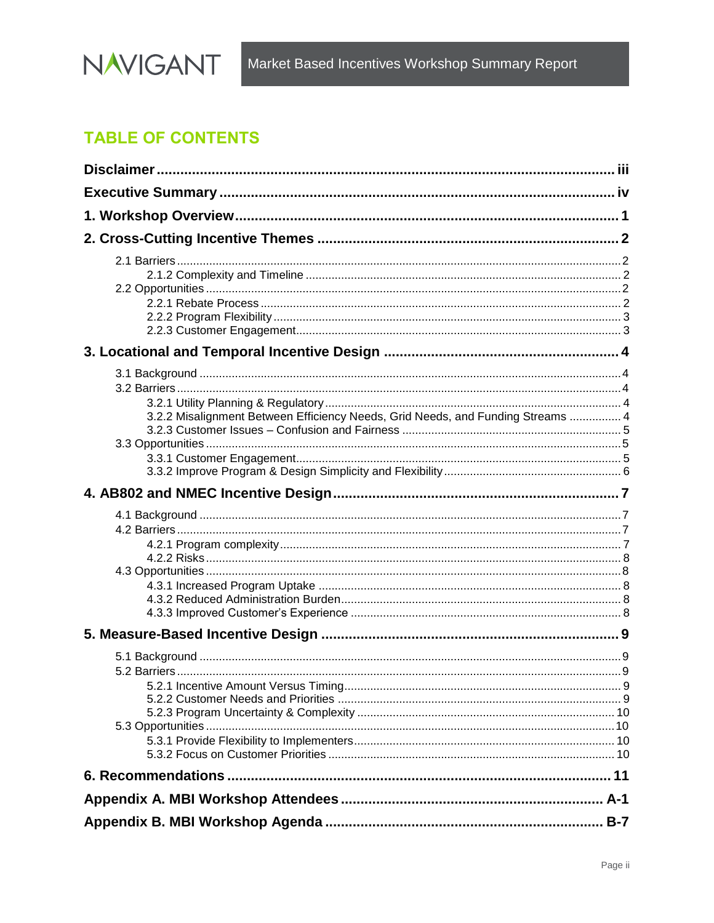

## **TABLE OF CONTENTS**

| 3.2.2 Misalignment Between Efficiency Needs, Grid Needs, and Funding Streams  4 |  |
|---------------------------------------------------------------------------------|--|
|                                                                                 |  |
|                                                                                 |  |
|                                                                                 |  |
|                                                                                 |  |
|                                                                                 |  |
|                                                                                 |  |
|                                                                                 |  |
|                                                                                 |  |
|                                                                                 |  |
|                                                                                 |  |
|                                                                                 |  |
|                                                                                 |  |
|                                                                                 |  |
|                                                                                 |  |
|                                                                                 |  |
|                                                                                 |  |
|                                                                                 |  |
|                                                                                 |  |
|                                                                                 |  |
|                                                                                 |  |
|                                                                                 |  |
|                                                                                 |  |
|                                                                                 |  |
|                                                                                 |  |
|                                                                                 |  |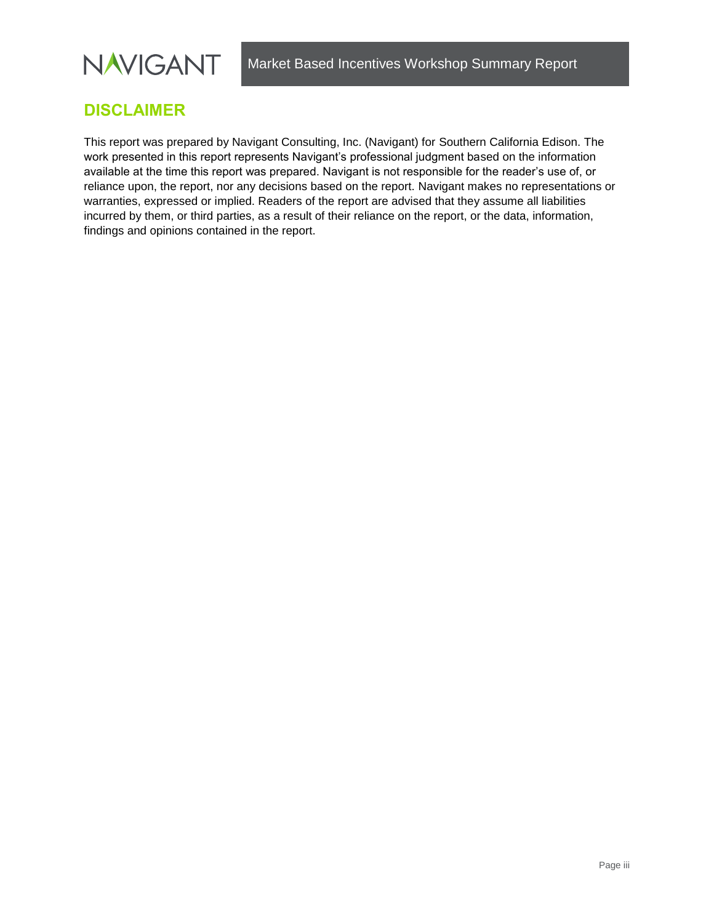

## <span id="page-2-0"></span>**DISCLAIMER**

This report was prepared by Navigant Consulting, Inc. (Navigant) for Southern California Edison. The work presented in this report represents Navigant's professional judgment based on the information available at the time this report was prepared. Navigant is not responsible for the reader's use of, or reliance upon, the report, nor any decisions based on the report. Navigant makes no representations or warranties, expressed or implied. Readers of the report are advised that they assume all liabilities incurred by them, or third parties, as a result of their reliance on the report, or the data, information, findings and opinions contained in the report.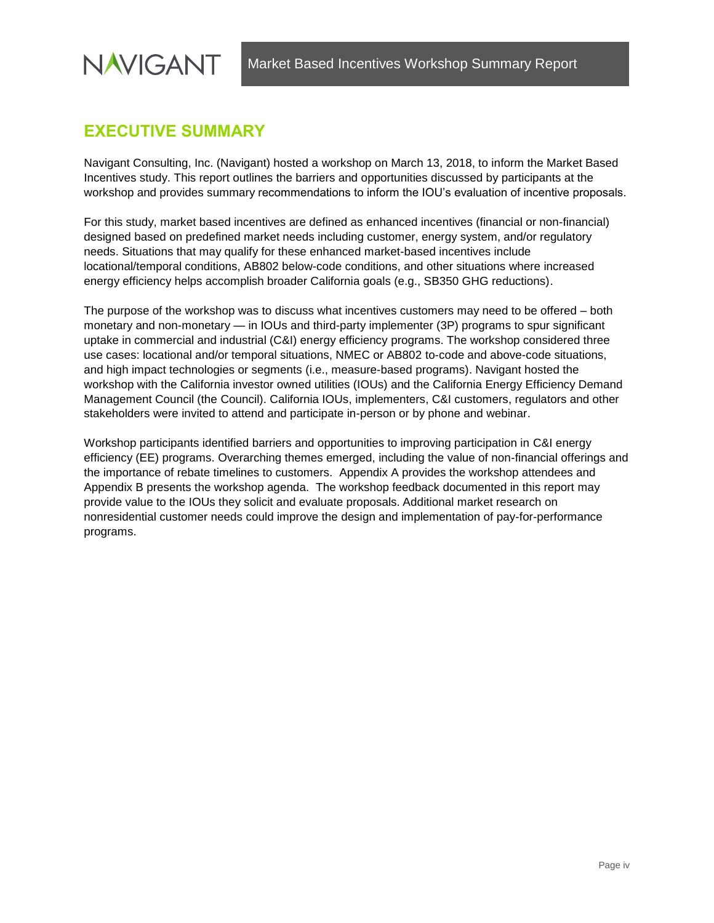## <span id="page-3-0"></span>**EXECUTIVE SUMMARY**

Navigant Consulting, Inc. (Navigant) hosted a workshop on March 13, 2018, to inform the Market Based Incentives study. This report outlines the barriers and opportunities discussed by participants at the workshop and provides summary recommendations to inform the IOU's evaluation of incentive proposals.

For this study, market based incentives are defined as enhanced incentives (financial or non-financial) designed based on predefined market needs including customer, energy system, and/or regulatory needs. Situations that may qualify for these enhanced market-based incentives include locational/temporal conditions, AB802 below-code conditions, and other situations where increased energy efficiency helps accomplish broader California goals (e.g., SB350 GHG reductions).

The purpose of the workshop was to discuss what incentives customers may need to be offered – both monetary and non-monetary — in IOUs and third-party implementer (3P) programs to spur significant uptake in commercial and industrial (C&I) energy efficiency programs. The workshop considered three use cases: locational and/or temporal situations, NMEC or AB802 to-code and above-code situations, and high impact technologies or segments (i.e., measure-based programs). Navigant hosted the workshop with the California investor owned utilities (IOUs) and the California Energy Efficiency Demand Management Council (the Council). California IOUs, implementers, C&I customers, regulators and other stakeholders were invited to attend and participate in-person or by phone and webinar.

Workshop participants identified barriers and opportunities to improving participation in C&I energy efficiency (EE) programs. Overarching themes emerged, including the value of non-financial offerings and the importance of rebate timelines to customers. [Appendix A](#page-15-0) provides the workshop attendees and [Appendix B](#page-21-0) presents the workshop agenda. The workshop feedback documented in this report may provide value to the IOUs they solicit and evaluate proposals. Additional market research on nonresidential customer needs could improve the design and implementation of pay-for-performance programs.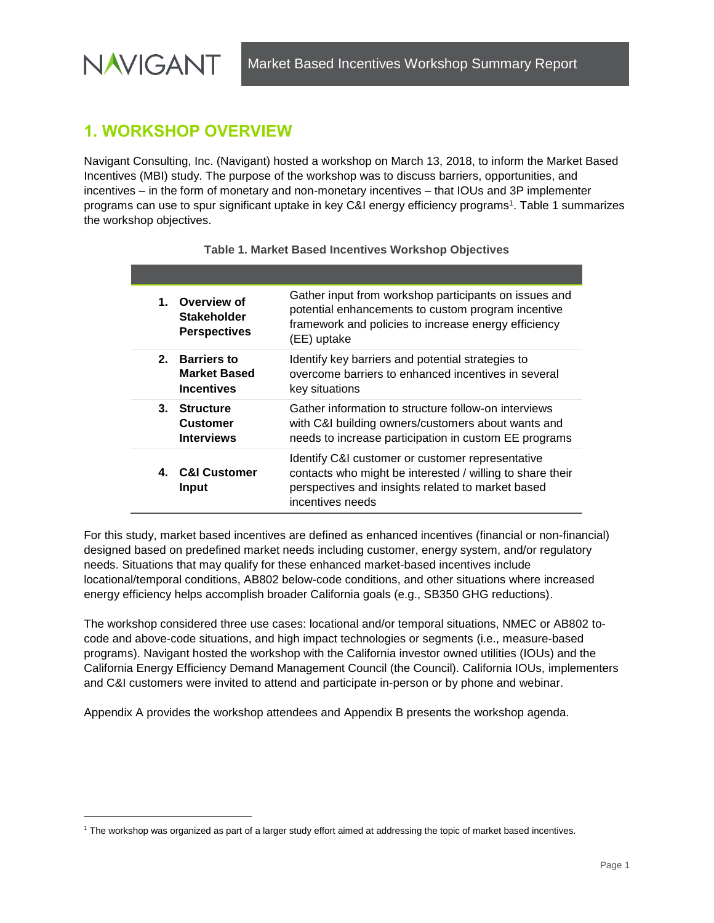## <span id="page-4-0"></span>**1. WORKSHOP OVERVIEW**

**NAVIGANT** 

l

Navigant Consulting, Inc. (Navigant) hosted a workshop on March 13, 2018, to inform the Market Based Incentives (MBI) study. The purpose of the workshop was to discuss barriers, opportunities, and incentives – in the form of monetary and non-monetary incentives – that IOUs and 3P implementer programs can use to spur significant uptake in key C&I energy efficiency programs<sup>1</sup>. [Table 1](#page-4-1) summarizes the workshop objectives.

<span id="page-4-1"></span>

| 1. Overview of<br><b>Stakeholder</b><br><b>Perspectives</b> | Gather input from workshop participants on issues and<br>potential enhancements to custom program incentive<br>framework and policies to increase energy efficiency<br>(EE) uptake     |
|-------------------------------------------------------------|----------------------------------------------------------------------------------------------------------------------------------------------------------------------------------------|
| 2. Barriers to<br><b>Market Based</b><br><b>Incentives</b>  | Identify key barriers and potential strategies to<br>overcome barriers to enhanced incentives in several<br>key situations                                                             |
| 3. Structure<br><b>Customer</b><br><b>Interviews</b>        | Gather information to structure follow-on interviews<br>with C&I building owners/customers about wants and<br>needs to increase participation in custom EE programs                    |
| 4. C&I Customer<br>Input                                    | Identify C&I customer or customer representative<br>contacts who might be interested / willing to share their<br>perspectives and insights related to market based<br>incentives needs |

For this study, market based incentives are defined as enhanced incentives (financial or non-financial) designed based on predefined market needs including customer, energy system, and/or regulatory needs. Situations that may qualify for these enhanced market-based incentives include locational/temporal conditions, AB802 below-code conditions, and other situations where increased energy efficiency helps accomplish broader California goals (e.g., SB350 GHG reductions).

The workshop considered three use cases: locational and/or temporal situations, NMEC or AB802 tocode and above-code situations, and high impact technologies or segments (i.e., measure-based programs). Navigant hosted the workshop with the California investor owned utilities (IOUs) and the California Energy Efficiency Demand Management Council (the Council). California IOUs, implementers and C&I customers were invited to attend and participate in-person or by phone and webinar.

[Appendix A](#page-15-0) provides the workshop attendees and [Appendix B](#page-21-0) presents the workshop agenda.

<sup>1</sup> The workshop was organized as part of a larger study effort aimed at addressing the topic of market based incentives.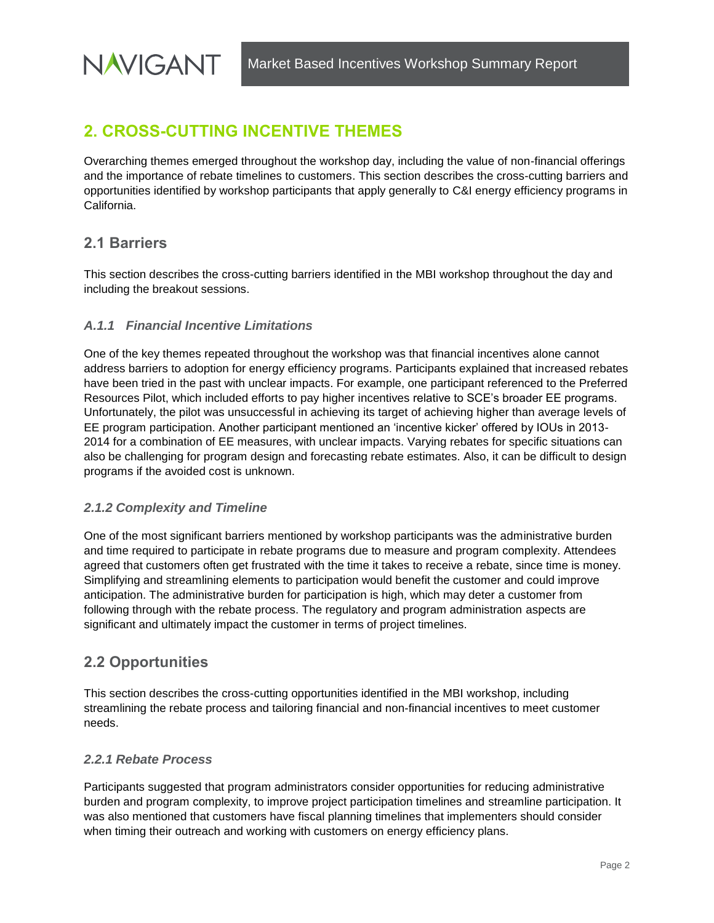## <span id="page-5-0"></span>**2. CROSS-CUTTING INCENTIVE THEMES**

Overarching themes emerged throughout the workshop day, including the value of non-financial offerings and the importance of rebate timelines to customers. This section describes the cross-cutting barriers and opportunities identified by workshop participants that apply generally to C&I energy efficiency programs in California.

#### <span id="page-5-1"></span>**2.1 Barriers**

**NAVIGANT** 

This section describes the cross-cutting barriers identified in the MBI workshop throughout the day and including the breakout sessions.

#### *A.1.1 Financial Incentive Limitations*

One of the key themes repeated throughout the workshop was that financial incentives alone cannot address barriers to adoption for energy efficiency programs. Participants explained that increased rebates have been tried in the past with unclear impacts. For example, one participant referenced to the Preferred Resources Pilot, which included efforts to pay higher incentives relative to SCE's broader EE programs. Unfortunately, the pilot was unsuccessful in achieving its target of achieving higher than average levels of EE program participation. Another participant mentioned an 'incentive kicker' offered by IOUs in 2013- 2014 for a combination of EE measures, with unclear impacts. Varying rebates for specific situations can also be challenging for program design and forecasting rebate estimates. Also, it can be difficult to design programs if the avoided cost is unknown.

#### <span id="page-5-2"></span>*2.1.2 Complexity and Timeline*

One of the most significant barriers mentioned by workshop participants was the administrative burden and time required to participate in rebate programs due to measure and program complexity. Attendees agreed that customers often get frustrated with the time it takes to receive a rebate, since time is money. Simplifying and streamlining elements to participation would benefit the customer and could improve anticipation. The administrative burden for participation is high, which may deter a customer from following through with the rebate process. The regulatory and program administration aspects are significant and ultimately impact the customer in terms of project timelines.

#### <span id="page-5-3"></span>**2.2 Opportunities**

This section describes the cross-cutting opportunities identified in the MBI workshop, including streamlining the rebate process and tailoring financial and non-financial incentives to meet customer needs.

#### <span id="page-5-4"></span>*2.2.1 Rebate Process*

Participants suggested that program administrators consider opportunities for reducing administrative burden and program complexity, to improve project participation timelines and streamline participation. It was also mentioned that customers have fiscal planning timelines that implementers should consider when timing their outreach and working with customers on energy efficiency plans.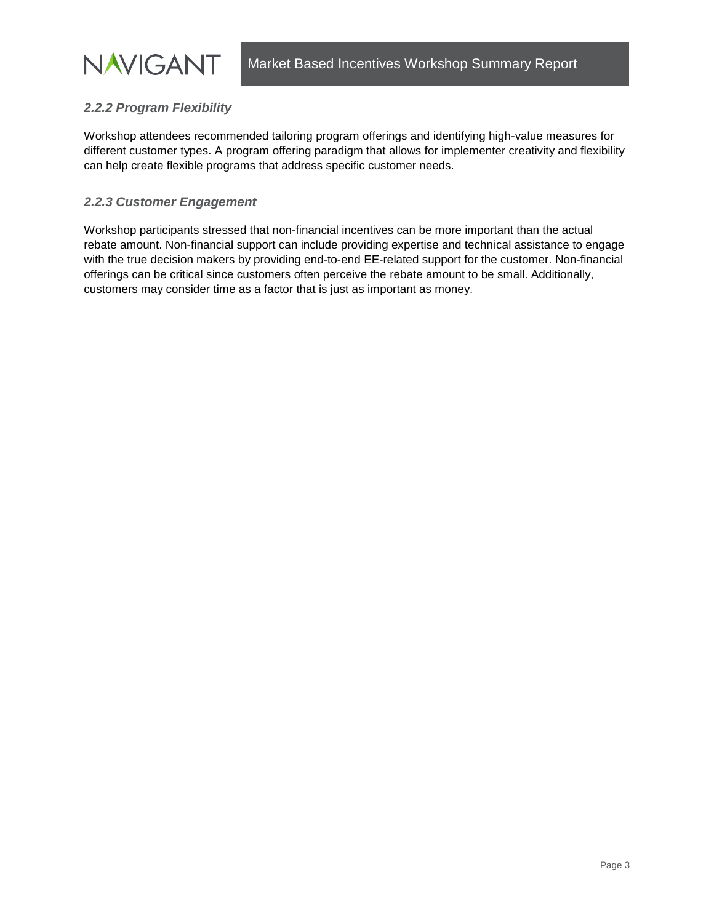#### <span id="page-6-0"></span>*2.2.2 Program Flexibility*

**NAVIGANT** 

Workshop attendees recommended tailoring program offerings and identifying high-value measures for different customer types. A program offering paradigm that allows for implementer creativity and flexibility can help create flexible programs that address specific customer needs.

#### <span id="page-6-1"></span>*2.2.3 Customer Engagement*

Workshop participants stressed that non-financial incentives can be more important than the actual rebate amount. Non-financial support can include providing expertise and technical assistance to engage with the true decision makers by providing end-to-end EE-related support for the customer. Non-financial offerings can be critical since customers often perceive the rebate amount to be small. Additionally, customers may consider time as a factor that is just as important as money.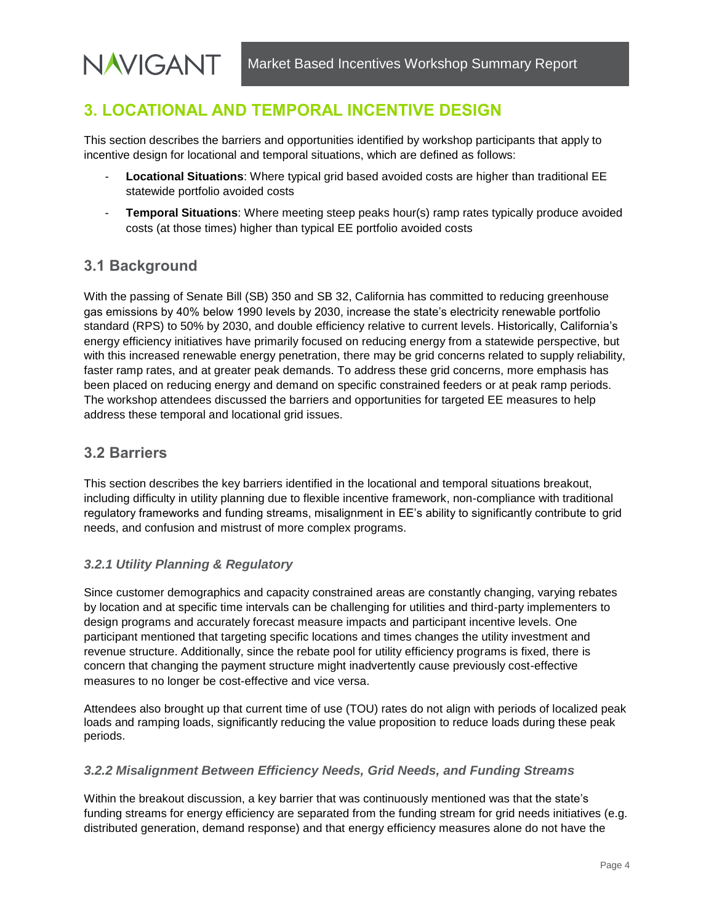## <span id="page-7-0"></span>**3. LOCATIONAL AND TEMPORAL INCENTIVE DESIGN**

This section describes the barriers and opportunities identified by workshop participants that apply to incentive design for locational and temporal situations, which are defined as follows:

- **Locational Situations**: Where typical grid based avoided costs are higher than traditional EE statewide portfolio avoided costs
- **Temporal Situations:** Where meeting steep peaks hour(s) ramp rates typically produce avoided costs (at those times) higher than typical EE portfolio avoided costs

#### <span id="page-7-1"></span>**3.1 Background**

**NAVIGANT** 

With the passing of Senate Bill (SB) 350 and SB 32, California has committed to reducing greenhouse gas emissions by 40% below 1990 levels by 2030, increase the state's electricity renewable portfolio standard (RPS) to 50% by 2030, and double efficiency relative to current levels. Historically, California's energy efficiency initiatives have primarily focused on reducing energy from a statewide perspective, but with this increased renewable energy penetration, there may be grid concerns related to supply reliability, faster ramp rates, and at greater peak demands. To address these grid concerns, more emphasis has been placed on reducing energy and demand on specific constrained feeders or at peak ramp periods. The workshop attendees discussed the barriers and opportunities for targeted EE measures to help address these temporal and locational grid issues.

#### <span id="page-7-2"></span>**3.2 Barriers**

This section describes the key barriers identified in the locational and temporal situations breakout, including difficulty in utility planning due to flexible incentive framework, non-compliance with traditional regulatory frameworks and funding streams, misalignment in EE's ability to significantly contribute to grid needs, and confusion and mistrust of more complex programs.

#### <span id="page-7-3"></span>*3.2.1 Utility Planning & Regulatory*

Since customer demographics and capacity constrained areas are constantly changing, varying rebates by location and at specific time intervals can be challenging for utilities and third-party implementers to design programs and accurately forecast measure impacts and participant incentive levels. One participant mentioned that targeting specific locations and times changes the utility investment and revenue structure. Additionally, since the rebate pool for utility efficiency programs is fixed, there is concern that changing the payment structure might inadvertently cause previously cost-effective measures to no longer be cost-effective and vice versa.

Attendees also brought up that current time of use (TOU) rates do not align with periods of localized peak loads and ramping loads, significantly reducing the value proposition to reduce loads during these peak periods.

#### <span id="page-7-4"></span>*3.2.2 Misalignment Between Efficiency Needs, Grid Needs, and Funding Streams*

Within the breakout discussion, a key barrier that was continuously mentioned was that the state's funding streams for energy efficiency are separated from the funding stream for grid needs initiatives (e.g. distributed generation, demand response) and that energy efficiency measures alone do not have the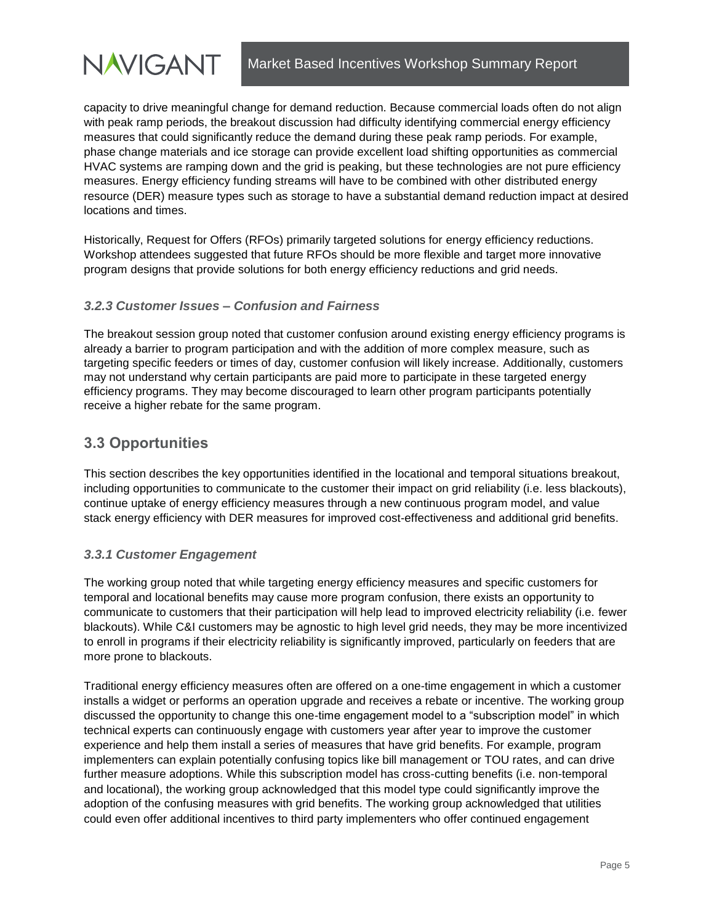

capacity to drive meaningful change for demand reduction. Because commercial loads often do not align with peak ramp periods, the breakout discussion had difficulty identifying commercial energy efficiency measures that could significantly reduce the demand during these peak ramp periods. For example, phase change materials and ice storage can provide excellent load shifting opportunities as commercial HVAC systems are ramping down and the grid is peaking, but these technologies are not pure efficiency measures. Energy efficiency funding streams will have to be combined with other distributed energy resource (DER) measure types such as storage to have a substantial demand reduction impact at desired locations and times.

Historically, Request for Offers (RFOs) primarily targeted solutions for energy efficiency reductions. Workshop attendees suggested that future RFOs should be more flexible and target more innovative program designs that provide solutions for both energy efficiency reductions and grid needs.

#### <span id="page-8-0"></span>*3.2.3 Customer Issues – Confusion and Fairness*

The breakout session group noted that customer confusion around existing energy efficiency programs is already a barrier to program participation and with the addition of more complex measure, such as targeting specific feeders or times of day, customer confusion will likely increase. Additionally, customers may not understand why certain participants are paid more to participate in these targeted energy efficiency programs. They may become discouraged to learn other program participants potentially receive a higher rebate for the same program.

#### <span id="page-8-1"></span>**3.3 Opportunities**

This section describes the key opportunities identified in the locational and temporal situations breakout, including opportunities to communicate to the customer their impact on grid reliability (i.e. less blackouts), continue uptake of energy efficiency measures through a new continuous program model, and value stack energy efficiency with DER measures for improved cost-effectiveness and additional grid benefits.

#### <span id="page-8-2"></span>*3.3.1 Customer Engagement*

The working group noted that while targeting energy efficiency measures and specific customers for temporal and locational benefits may cause more program confusion, there exists an opportunity to communicate to customers that their participation will help lead to improved electricity reliability (i.e. fewer blackouts). While C&I customers may be agnostic to high level grid needs, they may be more incentivized to enroll in programs if their electricity reliability is significantly improved, particularly on feeders that are more prone to blackouts.

Traditional energy efficiency measures often are offered on a one-time engagement in which a customer installs a widget or performs an operation upgrade and receives a rebate or incentive. The working group discussed the opportunity to change this one-time engagement model to a "subscription model" in which technical experts can continuously engage with customers year after year to improve the customer experience and help them install a series of measures that have grid benefits. For example, program implementers can explain potentially confusing topics like bill management or TOU rates, and can drive further measure adoptions. While this subscription model has cross-cutting benefits (i.e. non-temporal and locational), the working group acknowledged that this model type could significantly improve the adoption of the confusing measures with grid benefits. The working group acknowledged that utilities could even offer additional incentives to third party implementers who offer continued engagement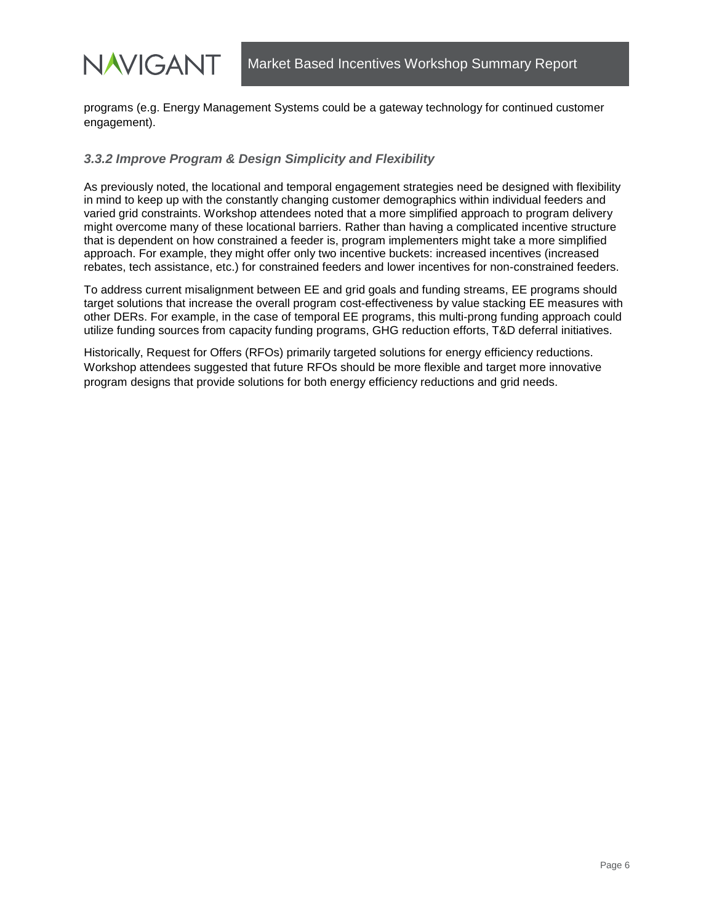

programs (e.g. Energy Management Systems could be a gateway technology for continued customer engagement).

#### <span id="page-9-0"></span>*3.3.2 Improve Program & Design Simplicity and Flexibility*

As previously noted, the locational and temporal engagement strategies need be designed with flexibility in mind to keep up with the constantly changing customer demographics within individual feeders and varied grid constraints. Workshop attendees noted that a more simplified approach to program delivery might overcome many of these locational barriers. Rather than having a complicated incentive structure that is dependent on how constrained a feeder is, program implementers might take a more simplified approach. For example, they might offer only two incentive buckets: increased incentives (increased rebates, tech assistance, etc.) for constrained feeders and lower incentives for non-constrained feeders.

To address current misalignment between EE and grid goals and funding streams, EE programs should target solutions that increase the overall program cost-effectiveness by value stacking EE measures with other DERs. For example, in the case of temporal EE programs, this multi-prong funding approach could utilize funding sources from capacity funding programs, GHG reduction efforts, T&D deferral initiatives.

Historically, Request for Offers (RFOs) primarily targeted solutions for energy efficiency reductions. Workshop attendees suggested that future RFOs should be more flexible and target more innovative program designs that provide solutions for both energy efficiency reductions and grid needs.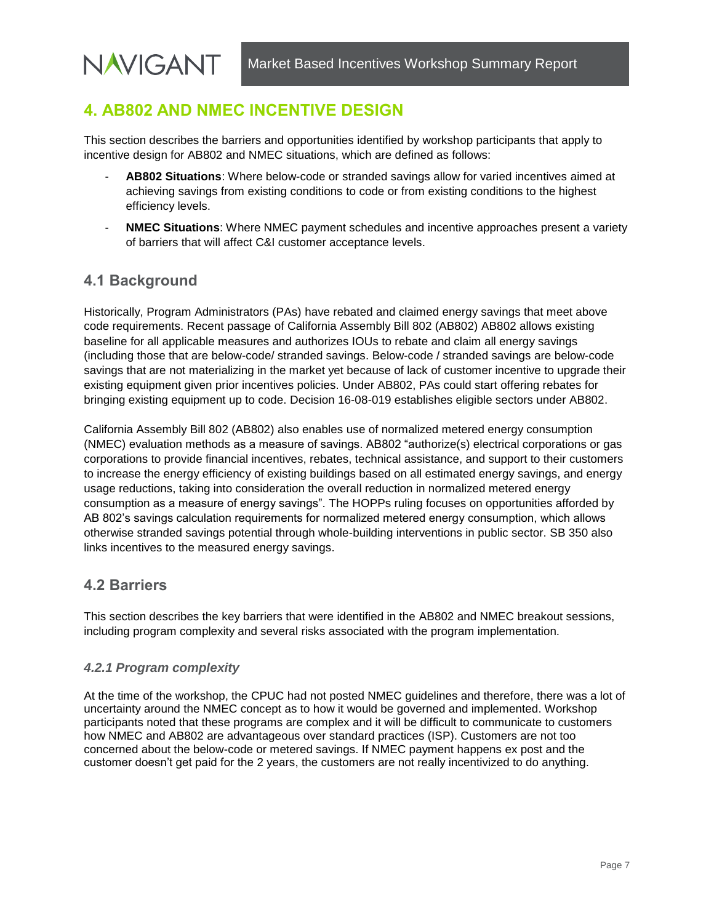## <span id="page-10-0"></span>**4. AB802 AND NMEC INCENTIVE DESIGN**

This section describes the barriers and opportunities identified by workshop participants that apply to incentive design for AB802 and NMEC situations, which are defined as follows:

- **AB802 Situations**: Where below-code or stranded savings allow for varied incentives aimed at achieving savings from existing conditions to code or from existing conditions to the highest efficiency levels.
- **NMEC Situations**: Where NMEC payment schedules and incentive approaches present a variety of barriers that will affect C&I customer acceptance levels.

### <span id="page-10-1"></span>**4.1 Background**

**NAVIGANT** 

Historically, Program Administrators (PAs) have rebated and claimed energy savings that meet above code requirements. Recent passage of California Assembly Bill 802 (AB802) AB802 allows existing baseline for all applicable measures and authorizes IOUs to rebate and claim all energy savings (including those that are below-code/ stranded savings. Below-code / stranded savings are below-code savings that are not materializing in the market yet because of lack of customer incentive to upgrade their existing equipment given prior incentives policies. Under AB802, PAs could start offering rebates for bringing existing equipment up to code. Decision 16-08-019 establishes eligible sectors under AB802.

California Assembly Bill 802 (AB802) also enables use of normalized metered energy consumption (NMEC) evaluation methods as a measure of savings. AB802 "authorize(s) electrical corporations or gas corporations to provide financial incentives, rebates, technical assistance, and support to their customers to increase the energy efficiency of existing buildings based on all estimated energy savings, and energy usage reductions, taking into consideration the overall reduction in normalized metered energy consumption as a measure of energy savings". The HOPPs ruling focuses on opportunities afforded by AB 802's savings calculation requirements for normalized metered energy consumption, which allows otherwise stranded savings potential through whole-building interventions in public sector. SB 350 also links incentives to the measured energy savings.

### <span id="page-10-2"></span>**4.2 Barriers**

This section describes the key barriers that were identified in the AB802 and NMEC breakout sessions, including program complexity and several risks associated with the program implementation.

#### <span id="page-10-3"></span>*4.2.1 Program complexity*

At the time of the workshop, the CPUC had not posted NMEC guidelines and therefore, there was a lot of uncertainty around the NMEC concept as to how it would be governed and implemented. Workshop participants noted that these programs are complex and it will be difficult to communicate to customers how NMEC and AB802 are advantageous over standard practices (ISP). Customers are not too concerned about the below-code or metered savings. If NMEC payment happens ex post and the customer doesn't get paid for the 2 years, the customers are not really incentivized to do anything.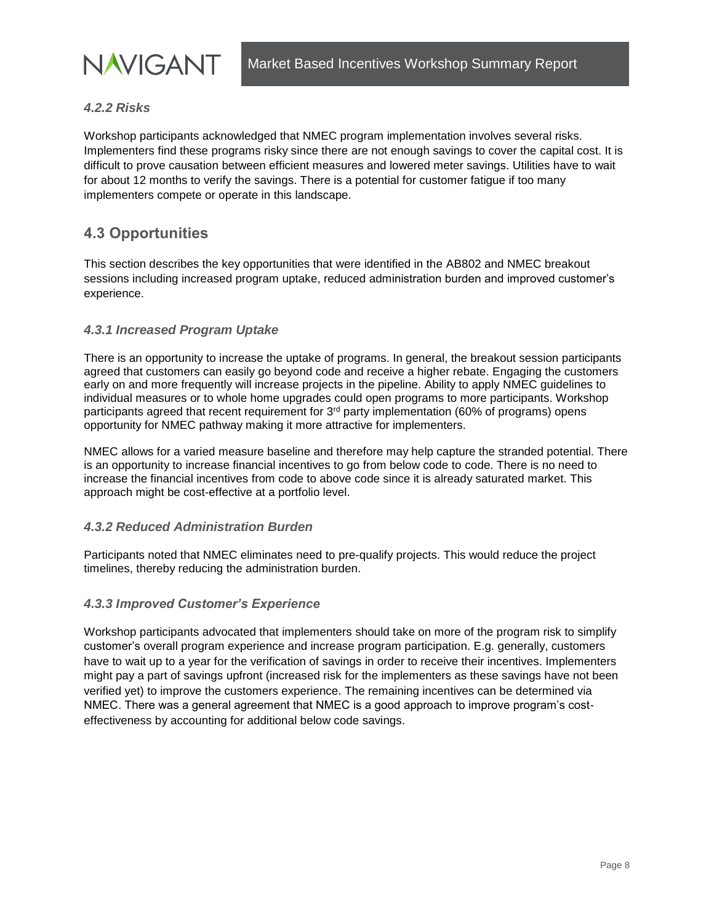

#### <span id="page-11-0"></span>*4.2.2 Risks*

Workshop participants acknowledged that NMEC program implementation involves several risks. Implementers find these programs risky since there are not enough savings to cover the capital cost. It is difficult to prove causation between efficient measures and lowered meter savings. Utilities have to wait for about 12 months to verify the savings. There is a potential for customer fatigue if too many implementers compete or operate in this landscape.

#### <span id="page-11-1"></span>**4.3 Opportunities**

This section describes the key opportunities that were identified in the AB802 and NMEC breakout sessions including increased program uptake, reduced administration burden and improved customer's experience.

#### <span id="page-11-2"></span>*4.3.1 Increased Program Uptake*

There is an opportunity to increase the uptake of programs. In general, the breakout session participants agreed that customers can easily go beyond code and receive a higher rebate. Engaging the customers early on and more frequently will increase projects in the pipeline. Ability to apply NMEC guidelines to individual measures or to whole home upgrades could open programs to more participants. Workshop participants agreed that recent requirement for 3rd party implementation (60% of programs) opens opportunity for NMEC pathway making it more attractive for implementers.

NMEC allows for a varied measure baseline and therefore may help capture the stranded potential. There is an opportunity to increase financial incentives to go from below code to code. There is no need to increase the financial incentives from code to above code since it is already saturated market. This approach might be cost-effective at a portfolio level.

#### <span id="page-11-3"></span>*4.3.2 Reduced Administration Burden*

Participants noted that NMEC eliminates need to pre-qualify projects. This would reduce the project timelines, thereby reducing the administration burden.

#### <span id="page-11-4"></span>*4.3.3 Improved Customer's Experience*

Workshop participants advocated that implementers should take on more of the program risk to simplify customer's overall program experience and increase program participation. E.g. generally, customers have to wait up to a year for the verification of savings in order to receive their incentives. Implementers might pay a part of savings upfront (increased risk for the implementers as these savings have not been verified yet) to improve the customers experience. The remaining incentives can be determined via NMEC. There was a general agreement that NMEC is a good approach to improve program's costeffectiveness by accounting for additional below code savings.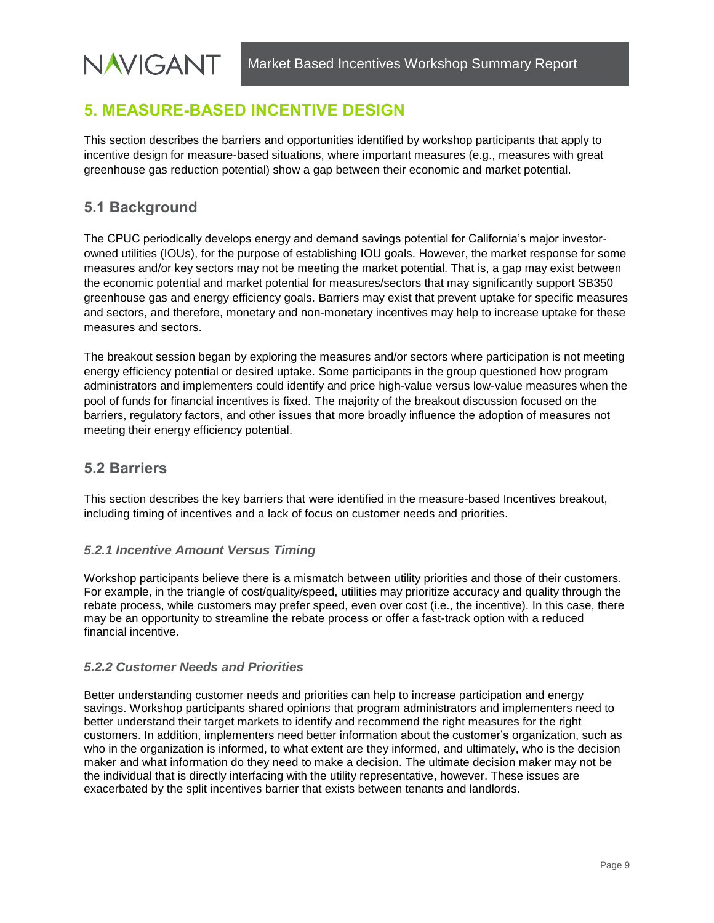## <span id="page-12-0"></span>**5. MEASURE-BASED INCENTIVE DESIGN**

This section describes the barriers and opportunities identified by workshop participants that apply to incentive design for measure-based situations, where important measures (e.g., measures with great greenhouse gas reduction potential) show a gap between their economic and market potential.

### <span id="page-12-1"></span>**5.1 Background**

The CPUC periodically develops energy and demand savings potential for California's major investorowned utilities (IOUs), for the purpose of establishing IOU goals. However, the market response for some measures and/or key sectors may not be meeting the market potential. That is, a gap may exist between the economic potential and market potential for measures/sectors that may significantly support SB350 greenhouse gas and energy efficiency goals. Barriers may exist that prevent uptake for specific measures and sectors, and therefore, monetary and non-monetary incentives may help to increase uptake for these measures and sectors.

The breakout session began by exploring the measures and/or sectors where participation is not meeting energy efficiency potential or desired uptake. Some participants in the group questioned how program administrators and implementers could identify and price high-value versus low-value measures when the pool of funds for financial incentives is fixed. The majority of the breakout discussion focused on the barriers, regulatory factors, and other issues that more broadly influence the adoption of measures not meeting their energy efficiency potential.

#### <span id="page-12-2"></span>**5.2 Barriers**

This section describes the key barriers that were identified in the measure-based Incentives breakout, including timing of incentives and a lack of focus on customer needs and priorities.

#### <span id="page-12-3"></span>*5.2.1 Incentive Amount Versus Timing*

Workshop participants believe there is a mismatch between utility priorities and those of their customers. For example, in the triangle of cost/quality/speed, utilities may prioritize accuracy and quality through the rebate process, while customers may prefer speed, even over cost (i.e., the incentive). In this case, there may be an opportunity to streamline the rebate process or offer a fast-track option with a reduced financial incentive.

#### <span id="page-12-4"></span>*5.2.2 Customer Needs and Priorities*

Better understanding customer needs and priorities can help to increase participation and energy savings. Workshop participants shared opinions that program administrators and implementers need to better understand their target markets to identify and recommend the right measures for the right customers. In addition, implementers need better information about the customer's organization, such as who in the organization is informed, to what extent are they informed, and ultimately, who is the decision maker and what information do they need to make a decision. The ultimate decision maker may not be the individual that is directly interfacing with the utility representative, however. These issues are exacerbated by the split incentives barrier that exists between tenants and landlords.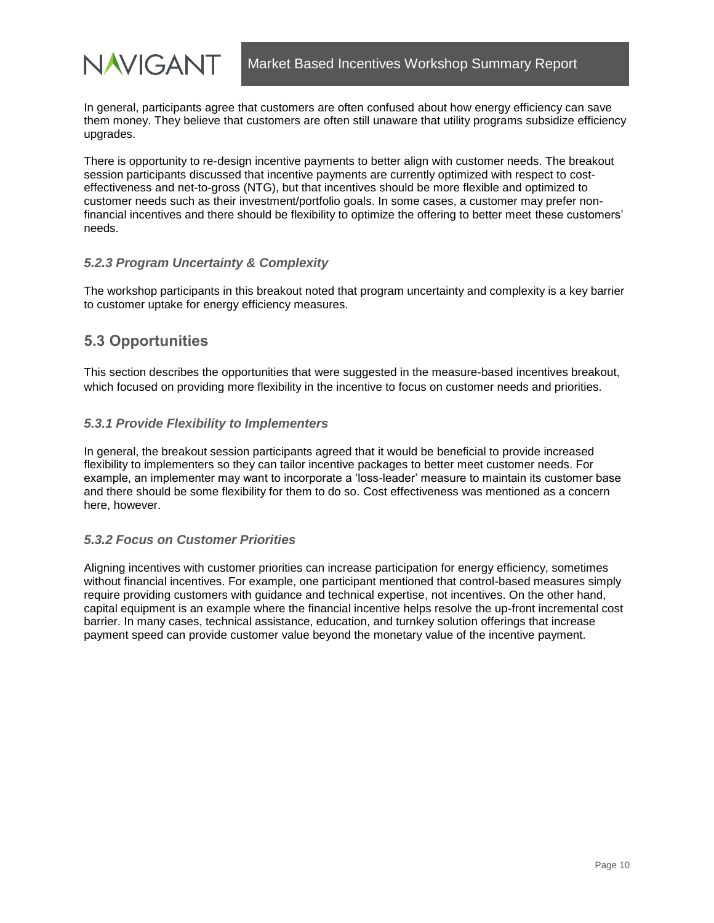

In general, participants agree that customers are often confused about how energy efficiency can save them money. They believe that customers are often still unaware that utility programs subsidize efficiency upgrades.

There is opportunity to re-design incentive payments to better align with customer needs. The breakout session participants discussed that incentive payments are currently optimized with respect to costeffectiveness and net-to-gross (NTG), but that incentives should be more flexible and optimized to customer needs such as their investment/portfolio goals. In some cases, a customer may prefer nonfinancial incentives and there should be flexibility to optimize the offering to better meet these customers' needs.

#### <span id="page-13-0"></span>*5.2.3 Program Uncertainty & Complexity*

The workshop participants in this breakout noted that program uncertainty and complexity is a key barrier to customer uptake for energy efficiency measures.

#### <span id="page-13-1"></span>**5.3 Opportunities**

This section describes the opportunities that were suggested in the measure-based incentives breakout, which focused on providing more flexibility in the incentive to focus on customer needs and priorities.

#### <span id="page-13-2"></span>*5.3.1 Provide Flexibility to Implementers*

In general, the breakout session participants agreed that it would be beneficial to provide increased flexibility to implementers so they can tailor incentive packages to better meet customer needs. For example, an implementer may want to incorporate a 'loss-leader' measure to maintain its customer base and there should be some flexibility for them to do so. Cost effectiveness was mentioned as a concern here, however.

#### <span id="page-13-3"></span>*5.3.2 Focus on Customer Priorities*

Aligning incentives with customer priorities can increase participation for energy efficiency, sometimes without financial incentives. For example, one participant mentioned that control-based measures simply require providing customers with guidance and technical expertise, not incentives. On the other hand, capital equipment is an example where the financial incentive helps resolve the up-front incremental cost barrier. In many cases, technical assistance, education, and turnkey solution offerings that increase payment speed can provide customer value beyond the monetary value of the incentive payment.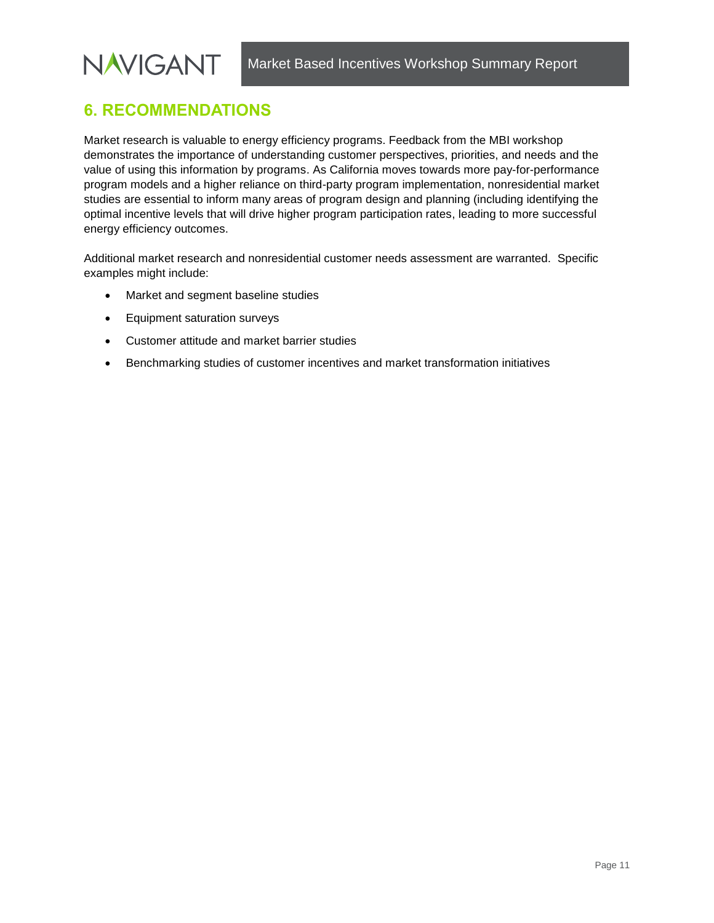## <span id="page-14-0"></span>**6. RECOMMENDATIONS**

Market research is valuable to energy efficiency programs. Feedback from the MBI workshop demonstrates the importance of understanding customer perspectives, priorities, and needs and the value of using this information by programs. As California moves towards more pay-for-performance program models and a higher reliance on third-party program implementation, nonresidential market studies are essential to inform many areas of program design and planning (including identifying the optimal incentive levels that will drive higher program participation rates, leading to more successful energy efficiency outcomes.

Additional market research and nonresidential customer needs assessment are warranted. Specific examples might include:

- Market and segment baseline studies
- Equipment saturation surveys
- Customer attitude and market barrier studies
- Benchmarking studies of customer incentives and market transformation initiatives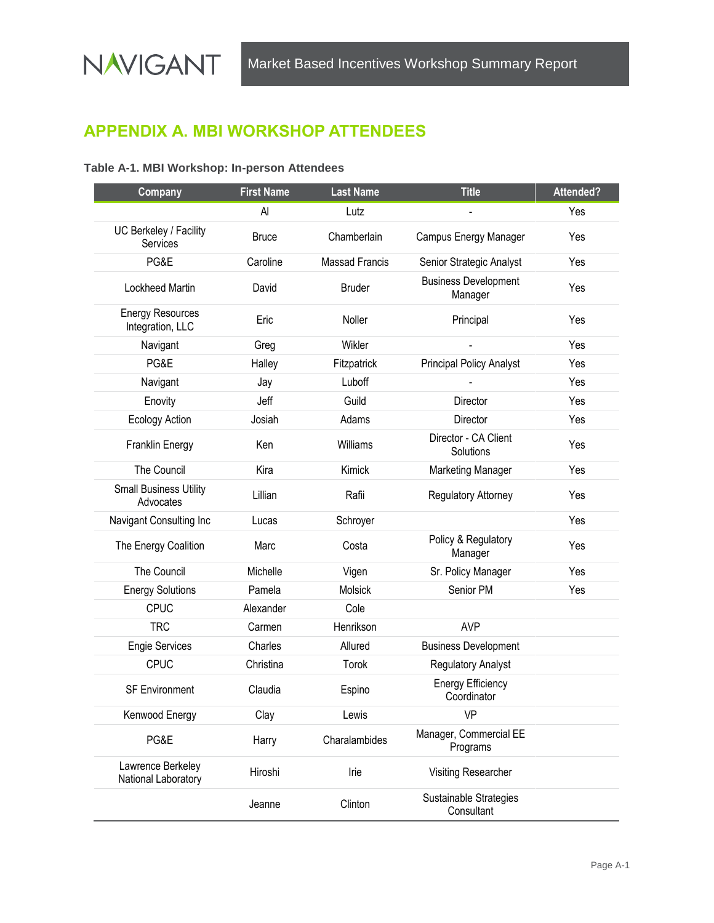## <span id="page-15-0"></span>**APPENDIX A. MBI WORKSHOP ATTENDEES**

#### **Table A-1. MBI Workshop: In-person Attendees**

| Company                                     | <b>First Name</b> | <b>Last Name</b>      | <b>Title</b>                            | Attended? |
|---------------------------------------------|-------------------|-----------------------|-----------------------------------------|-----------|
|                                             | Al                | Lutz                  |                                         | Yes       |
| UC Berkeley / Facility<br>Services          | <b>Bruce</b>      | Chamberlain           | Campus Energy Manager                   | Yes       |
| PG&E                                        | Caroline          | <b>Massad Francis</b> | Senior Strategic Analyst                | Yes       |
| Lockheed Martin                             | David             | <b>Bruder</b>         | <b>Business Development</b><br>Manager  | Yes       |
| <b>Energy Resources</b><br>Integration, LLC | Eric              | Noller                | Principal                               | Yes       |
| Navigant                                    | Greg              | Wikler                |                                         | Yes       |
| PG&E                                        | Halley            | Fitzpatrick           | <b>Principal Policy Analyst</b>         | Yes       |
| Navigant                                    | Jay               | Luboff                |                                         | Yes       |
| Enovity                                     | Jeff              | Guild                 | Director                                | Yes       |
| <b>Ecology Action</b>                       | Josiah            | Adams                 | Director                                | Yes       |
| Franklin Energy                             | Ken               | Williams              | Director - CA Client<br>Solutions       | Yes       |
| The Council                                 | Kira              | Kimick                | <b>Marketing Manager</b>                | Yes       |
| <b>Small Business Utility</b><br>Advocates  | Lillian           | Rafii                 | Regulatory Attorney                     | Yes       |
| Navigant Consulting Inc                     | Lucas             | Schroyer              |                                         | Yes       |
| The Energy Coalition                        | Marc              | Costa                 | Policy & Regulatory<br>Manager          | Yes       |
| The Council                                 | Michelle          | Vigen                 | Sr. Policy Manager                      | Yes       |
| <b>Energy Solutions</b>                     | Pamela            | Molsick               | Senior PM                               | Yes       |
| <b>CPUC</b>                                 | Alexander         | Cole                  |                                         |           |
| <b>TRC</b>                                  | Carmen            | Henrikson             | <b>AVP</b>                              |           |
| <b>Engie Services</b>                       | Charles           | Allured               | <b>Business Development</b>             |           |
| <b>CPUC</b>                                 | Christina         | Torok                 | <b>Regulatory Analyst</b>               |           |
| <b>SF Environment</b>                       | Claudia           | Espino                | <b>Energy Efficiency</b><br>Coordinator |           |
| Kenwood Energy                              | Clay              | Lewis                 | <b>VP</b>                               |           |
| PG&E                                        | Harry             | Charalambides         | Manager, Commercial EE<br>Programs      |           |
| Lawrence Berkeley<br>National Laboratory    | Hiroshi           | Irie                  | Visiting Researcher                     |           |
|                                             | Jeanne            | Clinton               | Sustainable Strategies<br>Consultant    |           |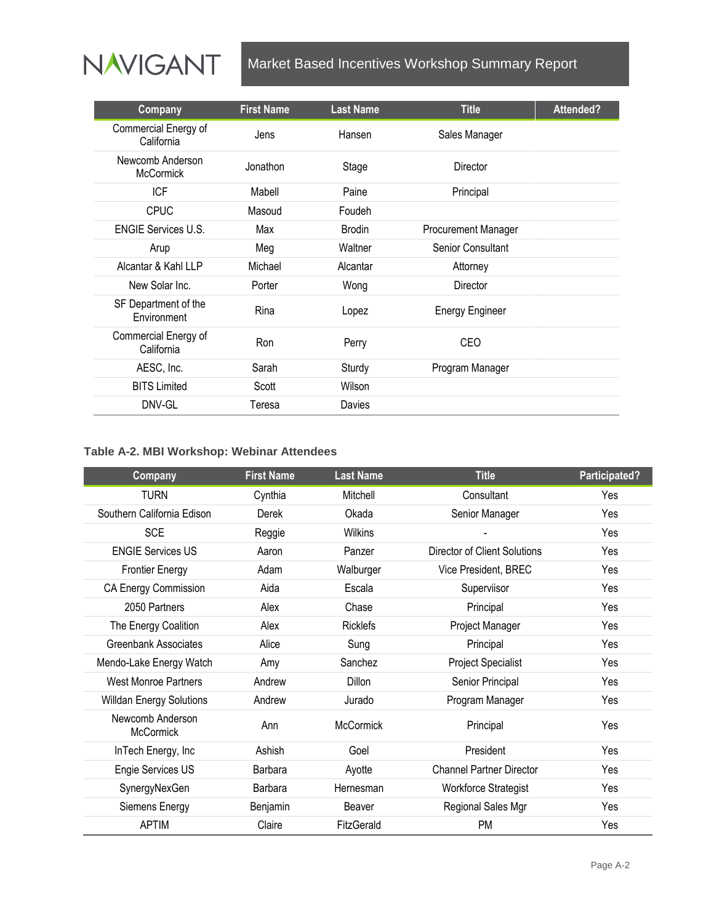

| Company                              | <b>First Name</b> | <b>Last Name</b> | <b>Title</b>               | Attended? |
|--------------------------------------|-------------------|------------------|----------------------------|-----------|
| Commercial Energy of<br>California   | Jens              | Hansen           | Sales Manager              |           |
| Newcomb Anderson<br><b>McCormick</b> | Jonathon          | Stage            | Director                   |           |
| <b>ICF</b>                           | Mabell            | Paine            | Principal                  |           |
| <b>CPUC</b>                          | Masoud            | Foudeh           |                            |           |
| <b>ENGIE Services U.S.</b>           | Max               | <b>Brodin</b>    | <b>Procurement Manager</b> |           |
| Arup                                 | Meg               | Waltner          | Senior Consultant          |           |
| Alcantar & Kahl LLP                  | Michael           | Alcantar         | Attorney                   |           |
| New Solar Inc.                       | Porter            | Wong             | <b>Director</b>            |           |
| SF Department of the<br>Environment  | Rina              | Lopez            | <b>Energy Engineer</b>     |           |
| Commercial Energy of<br>California   | Ron               | Perry            | CEO                        |           |
| AESC, Inc.                           | Sarah             | Sturdy           | Program Manager            |           |
| <b>BITS Limited</b>                  | Scott             | Wilson           |                            |           |
| DNV-GL                               | Teresa            | Davies           |                            |           |

#### **Table A-2. MBI Workshop: Webinar Attendees**

| Company                              | <b>First Name</b> | <b>Last Name</b> | <b>Title</b>                    | Participated? |
|--------------------------------------|-------------------|------------------|---------------------------------|---------------|
| <b>TURN</b>                          | Cynthia           | Mitchell         | Consultant                      | Yes           |
| Southern California Edison           | Derek             | Okada            | Senior Manager                  | Yes           |
| <b>SCE</b>                           | Reggie            | Wilkins          |                                 | Yes           |
| <b>ENGIE Services US</b>             | Aaron             | Panzer           | Director of Client Solutions    | <b>Yes</b>    |
| <b>Frontier Energy</b>               | Adam              | Walburger        | Vice President, BREC            | Yes           |
| <b>CA Energy Commission</b>          | Aida              | Escala           | Superviisor                     | Yes           |
| 2050 Partners                        | Alex              | Chase            | Principal                       | Yes           |
| The Energy Coalition                 | Alex              | <b>Ricklefs</b>  | Project Manager                 | Yes           |
| Greenbank Associates                 | Alice             | Sung             | Principal                       | Yes           |
| Mendo-Lake Energy Watch              | Amy               | Sanchez          | <b>Project Specialist</b>       | Yes           |
| <b>West Monroe Partners</b>          | Andrew            | Dillon           | Senior Principal                | Yes           |
| <b>Willdan Energy Solutions</b>      | Andrew            | Jurado           | Program Manager                 | Yes           |
| Newcomb Anderson<br><b>McCormick</b> | Ann               | <b>McCormick</b> | Principal                       | Yes           |
| InTech Energy, Inc                   | Ashish            | Goel             | President                       | Yes           |
| Engie Services US                    | Barbara           | Ayotte           | <b>Channel Partner Director</b> | Yes           |
| SynergyNexGen                        | Barbara           | Hernesman        | <b>Workforce Strategist</b>     | Yes           |
| Siemens Energy                       | Benjamin          | Beaver           | Regional Sales Mgr              | Yes           |
| <b>APTIM</b>                         | Claire            | FitzGerald       | <b>PM</b>                       | Yes           |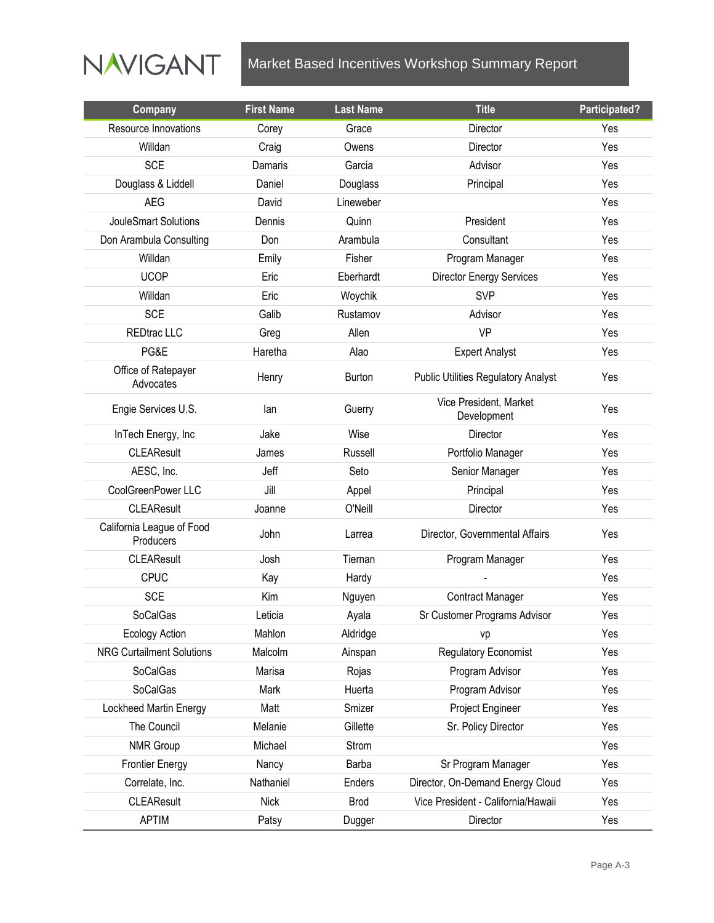

| Company                                | <b>First Name</b> | <b>Last Name</b> | <b>Title</b>                               | Participated? |
|----------------------------------------|-------------------|------------------|--------------------------------------------|---------------|
| Resource Innovations                   | Corey             | Grace            | Director                                   | Yes           |
| Willdan                                | Craig             | Owens            | Director                                   | Yes           |
| <b>SCE</b>                             | Damaris           | Garcia           | Advisor                                    | Yes           |
| Douglass & Liddell                     | Daniel            | Douglass         | Principal                                  | Yes           |
| <b>AEG</b>                             | David             | Lineweber        |                                            | Yes           |
| JouleSmart Solutions                   | Dennis            | Quinn            | President                                  | Yes           |
| Don Arambula Consulting                | Don               | Arambula         | Consultant                                 | Yes           |
| Willdan                                | Emily             | Fisher           | Program Manager                            | Yes           |
| <b>UCOP</b>                            | Eric              | Eberhardt        | <b>Director Energy Services</b>            | Yes           |
| Willdan                                | Eric              | Woychik          | <b>SVP</b>                                 | Yes           |
| <b>SCE</b>                             | Galib             | Rustamov         | Advisor                                    | Yes           |
| <b>REDtrac LLC</b>                     | Greg              | Allen            | VP                                         | Yes           |
| PG&E                                   | Haretha           | Alao             | <b>Expert Analyst</b>                      | Yes           |
| Office of Ratepayer<br>Advocates       | Henry             | Burton           | <b>Public Utilities Regulatory Analyst</b> | Yes           |
| Engie Services U.S.                    | lan               | Guerry           | Vice President, Market<br>Development      | Yes           |
| InTech Energy, Inc                     | Jake              | Wise             | Director                                   | Yes           |
| <b>CLEAResult</b>                      | James             | Russell          | Portfolio Manager                          | Yes           |
| AESC, Inc.                             | Jeff              | Seto             | Senior Manager                             | Yes           |
| CoolGreenPower LLC                     | Jill              | Appel            | Principal                                  | Yes           |
| <b>CLEAResult</b>                      | Joanne            | O'Neill          | Director                                   | Yes           |
| California League of Food<br>Producers | John              | Larrea           | Director, Governmental Affairs             | Yes           |
| <b>CLEAResult</b>                      | Josh              | Tiernan          | Program Manager                            | Yes           |
| <b>CPUC</b>                            | Kay               | Hardy            |                                            | Yes           |
| <b>SCE</b>                             | Kim               | Nguyen           | Contract Manager                           | Yes           |
| SoCalGas                               | Leticia           | Ayala            | Sr Customer Programs Advisor               | Yes           |
| <b>Ecology Action</b>                  | Mahlon            | Aldridge         | vp                                         | Yes           |
| <b>NRG Curtailment Solutions</b>       | Malcolm           | Ainspan          | Regulatory Economist                       | Yes           |
| SoCalGas                               | Marisa            | Rojas            | Program Advisor                            | Yes           |
| SoCalGas                               | Mark              | Huerta           | Program Advisor                            | Yes           |
| Lockheed Martin Energy                 | Matt              | Smizer           | Project Engineer                           | Yes           |
| The Council                            | Melanie           | Gillette         | Sr. Policy Director                        | Yes           |
| NMR Group                              | Michael           | Strom            |                                            | Yes           |
| <b>Frontier Energy</b>                 | Nancy             | Barba            | Sr Program Manager                         | Yes           |
| Correlate, Inc.                        | Nathaniel         | Enders           | Director, On-Demand Energy Cloud           | Yes           |
| <b>CLEAResult</b>                      | <b>Nick</b>       | <b>Brod</b>      | Vice President - California/Hawaii         | Yes           |
| <b>APTIM</b>                           | Patsy             | Dugger           | Director                                   | Yes           |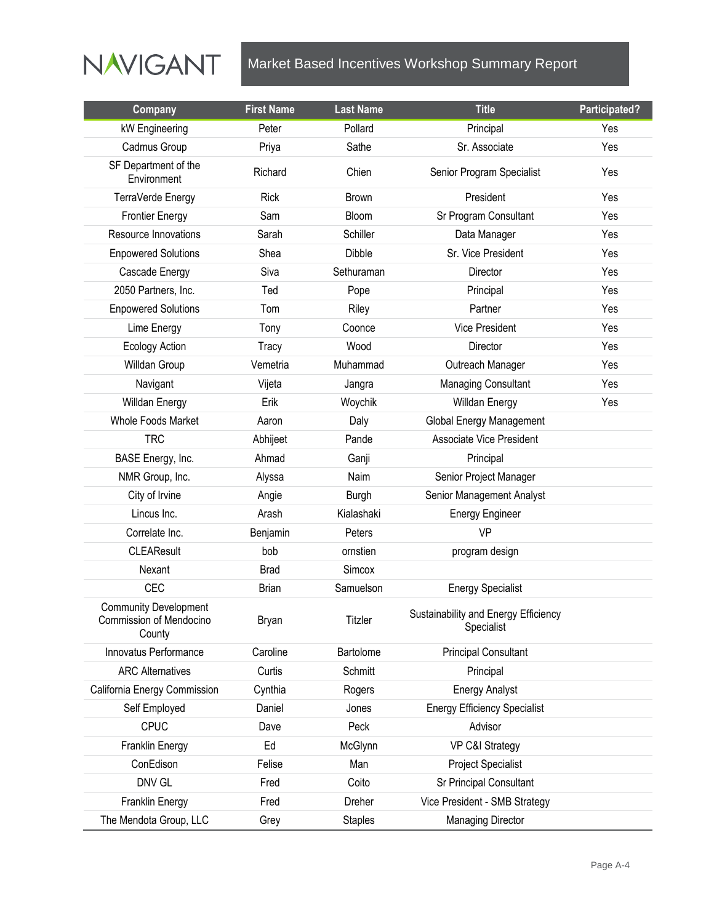

| Company                                                           | <b>First Name</b> | <b>Last Name</b> | <b>Title</b>                                       | Participated? |
|-------------------------------------------------------------------|-------------------|------------------|----------------------------------------------------|---------------|
| kW Engineering                                                    | Peter             | Pollard          | Principal                                          | Yes           |
| Cadmus Group                                                      | Priya             | Sathe            | Sr. Associate                                      | Yes           |
| SF Department of the<br>Environment                               | Richard           | Chien            | Senior Program Specialist                          | Yes           |
| TerraVerde Energy                                                 | <b>Rick</b>       | <b>Brown</b>     | President                                          | Yes           |
| <b>Frontier Energy</b>                                            | Sam               | Bloom            | Sr Program Consultant                              | Yes           |
| Resource Innovations                                              | Sarah             | Schiller         | Data Manager                                       | Yes           |
| <b>Enpowered Solutions</b>                                        | Shea              | <b>Dibble</b>    | Sr. Vice President                                 | Yes           |
| Cascade Energy                                                    | Siva              | Sethuraman       | Director                                           | Yes           |
| 2050 Partners, Inc.                                               | Ted               | Pope             | Principal                                          | Yes           |
| <b>Enpowered Solutions</b>                                        | Tom               | Riley            | Partner                                            | Yes           |
| Lime Energy                                                       | Tony              | Coonce           | <b>Vice President</b>                              | Yes           |
| <b>Ecology Action</b>                                             | <b>Tracy</b>      | Wood             | Director                                           | Yes           |
| Willdan Group                                                     | Vemetria          | Muhammad         | Outreach Manager                                   | Yes           |
| Navigant                                                          | Vijeta            | Jangra           | Managing Consultant                                | Yes           |
| Willdan Energy                                                    | Erik              | Woychik          | Willdan Energy                                     | Yes           |
| Whole Foods Market                                                | Aaron             | Daly             | Global Energy Management                           |               |
| <b>TRC</b>                                                        | Abhijeet          | Pande            | <b>Associate Vice President</b>                    |               |
| BASE Energy, Inc.                                                 | Ahmad             | Ganji            | Principal                                          |               |
| NMR Group, Inc.                                                   | Alyssa            | Naim             | Senior Project Manager                             |               |
| City of Irvine                                                    | Angie             | <b>Burgh</b>     | Senior Management Analyst                          |               |
| Lincus Inc.                                                       | Arash             | Kialashaki       | <b>Energy Engineer</b>                             |               |
| Correlate Inc.                                                    | Benjamin          | Peters           | VP                                                 |               |
| <b>CLEAResult</b>                                                 | bob               | ornstien         | program design                                     |               |
| Nexant                                                            | <b>Brad</b>       | Simcox           |                                                    |               |
| <b>CEC</b>                                                        | <b>Brian</b>      | Samuelson        | <b>Energy Specialist</b>                           |               |
| <b>Community Development</b><br>Commission of Mendocino<br>County | Bryan             | Titzler          | Sustainability and Energy Efficiency<br>Specialist |               |
| Innovatus Performance                                             | Caroline          | Bartolome        | <b>Principal Consultant</b>                        |               |
| <b>ARC Alternatives</b>                                           | Curtis            | Schmitt          | Principal                                          |               |
| California Energy Commission                                      | Cynthia           | Rogers           | <b>Energy Analyst</b>                              |               |
| Self Employed                                                     | Daniel            | Jones            | <b>Energy Efficiency Specialist</b>                |               |
| CPUC                                                              | Dave              | Peck             | Advisor                                            |               |
| Franklin Energy                                                   | Ed                | McGlynn          | VP C&I Strategy                                    |               |
| ConEdison                                                         | Felise            | Man              | <b>Project Specialist</b>                          |               |
| DNV GL                                                            | Fred              | Coito            | Sr Principal Consultant                            |               |
| Franklin Energy                                                   | Fred              | Dreher           | Vice President - SMB Strategy                      |               |
| The Mendota Group, LLC                                            | Grey              | <b>Staples</b>   | <b>Managing Director</b>                           |               |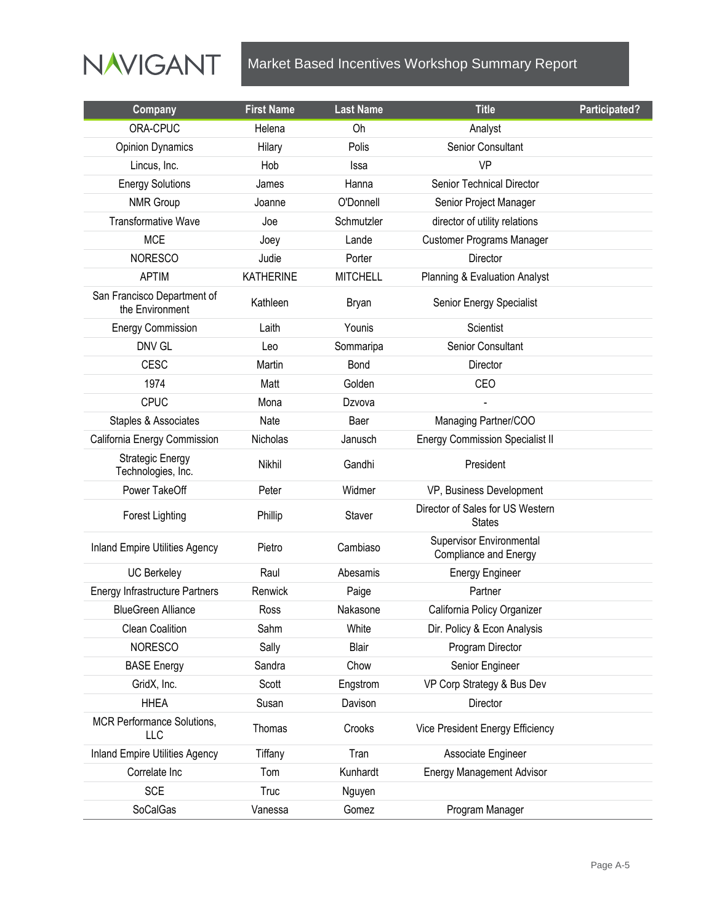

| Company                                        | <b>First Name</b> | <b>Last Name</b> | <b>Title</b>                                             | Participated? |
|------------------------------------------------|-------------------|------------------|----------------------------------------------------------|---------------|
| ORA-CPUC                                       | Helena            | Oh               | Analyst                                                  |               |
| <b>Opinion Dynamics</b>                        | Hilary            | Polis            | Senior Consultant                                        |               |
| Lincus, Inc.                                   | Hob               | Issa             | VP                                                       |               |
| <b>Energy Solutions</b>                        | James             | Hanna            | Senior Technical Director                                |               |
| <b>NMR Group</b>                               | Joanne            | O'Donnell        | Senior Project Manager                                   |               |
| <b>Transformative Wave</b>                     | Joe               | Schmutzler       | director of utility relations                            |               |
| <b>MCE</b>                                     | Joey              | Lande            | <b>Customer Programs Manager</b>                         |               |
| <b>NORESCO</b>                                 | Judie             | Porter           | Director                                                 |               |
| <b>APTIM</b>                                   | <b>KATHERINE</b>  | <b>MITCHELL</b>  | Planning & Evaluation Analyst                            |               |
| San Francisco Department of<br>the Environment | Kathleen          | <b>Bryan</b>     | Senior Energy Specialist                                 |               |
| <b>Energy Commission</b>                       | Laith             | Younis           | Scientist                                                |               |
| <b>DNV GL</b>                                  | Leo               | Sommaripa        | <b>Senior Consultant</b>                                 |               |
| <b>CESC</b>                                    | Martin            | Bond             | Director                                                 |               |
| 1974                                           | Matt              | Golden           | CEO                                                      |               |
| <b>CPUC</b>                                    | Mona              | Dzvova           |                                                          |               |
| Staples & Associates                           | Nate              | Baer             | Managing Partner/COO                                     |               |
| California Energy Commission                   | Nicholas          | Janusch          | <b>Energy Commission Specialist II</b>                   |               |
| <b>Strategic Energy</b><br>Technologies, Inc.  | Nikhil            | Gandhi           | President                                                |               |
| Power TakeOff                                  | Peter             | Widmer           | VP, Business Development                                 |               |
| <b>Forest Lighting</b>                         | Phillip           | Staver           | Director of Sales for US Western<br><b>States</b>        |               |
| <b>Inland Empire Utilities Agency</b>          | Pietro            | Cambiaso         | Supervisor Environmental<br><b>Compliance and Energy</b> |               |
| <b>UC Berkeley</b>                             | Raul              | Abesamis         | <b>Energy Engineer</b>                                   |               |
| <b>Energy Infrastructure Partners</b>          | Renwick           | Paige            | Partner                                                  |               |
| <b>BlueGreen Alliance</b>                      | Ross              | Nakasone         | California Policy Organizer                              |               |
| Clean Coalition                                | Sahm              | White            | Dir. Policy & Econ Analysis                              |               |
| <b>NORESCO</b>                                 | Sally             | Blair            | Program Director                                         |               |
| <b>BASE Energy</b>                             | Sandra            | Chow             | Senior Engineer                                          |               |
| GridX, Inc.                                    | Scott             | Engstrom         | VP Corp Strategy & Bus Dev                               |               |
| <b>HHEA</b>                                    | Susan             | Davison          | Director                                                 |               |
| MCR Performance Solutions,<br>LLC              | Thomas            | Crooks           | Vice President Energy Efficiency                         |               |
| <b>Inland Empire Utilities Agency</b>          | Tiffany           | Tran             | Associate Engineer                                       |               |
| Correlate Inc                                  | Tom               | Kunhardt         | <b>Energy Management Advisor</b>                         |               |
| <b>SCE</b>                                     | <b>Truc</b>       | Nguyen           |                                                          |               |
| SoCalGas                                       | Vanessa           | Gomez            | Program Manager                                          |               |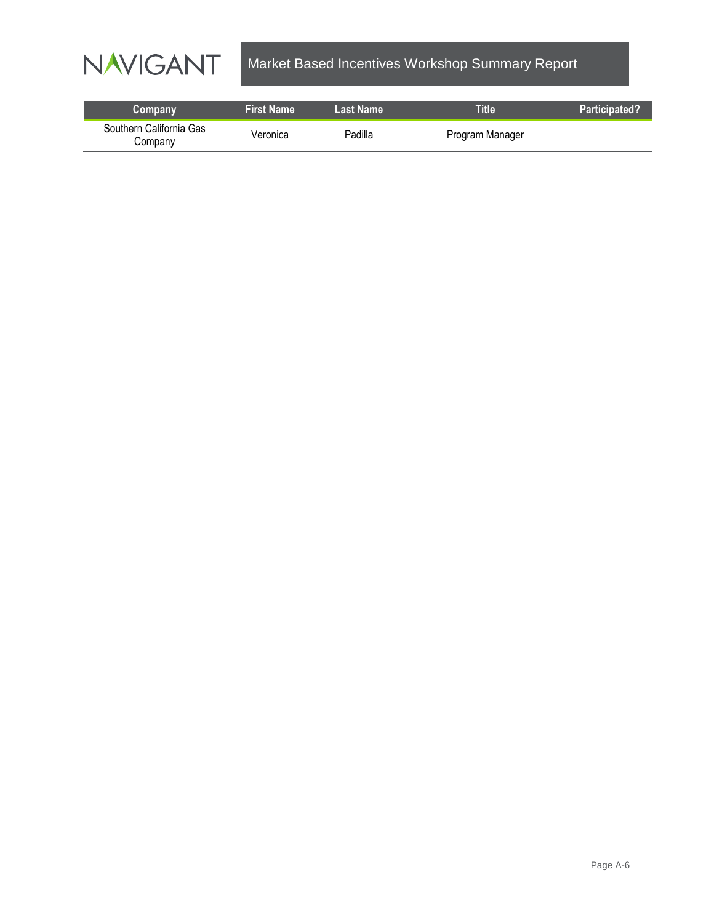

| Company                            | <b>First Name</b> | Last Name | <b>Title</b>    | Participated? |
|------------------------------------|-------------------|-----------|-----------------|---------------|
| Southern California Gas<br>Company | Veronica          | Padilla   | Program Manager |               |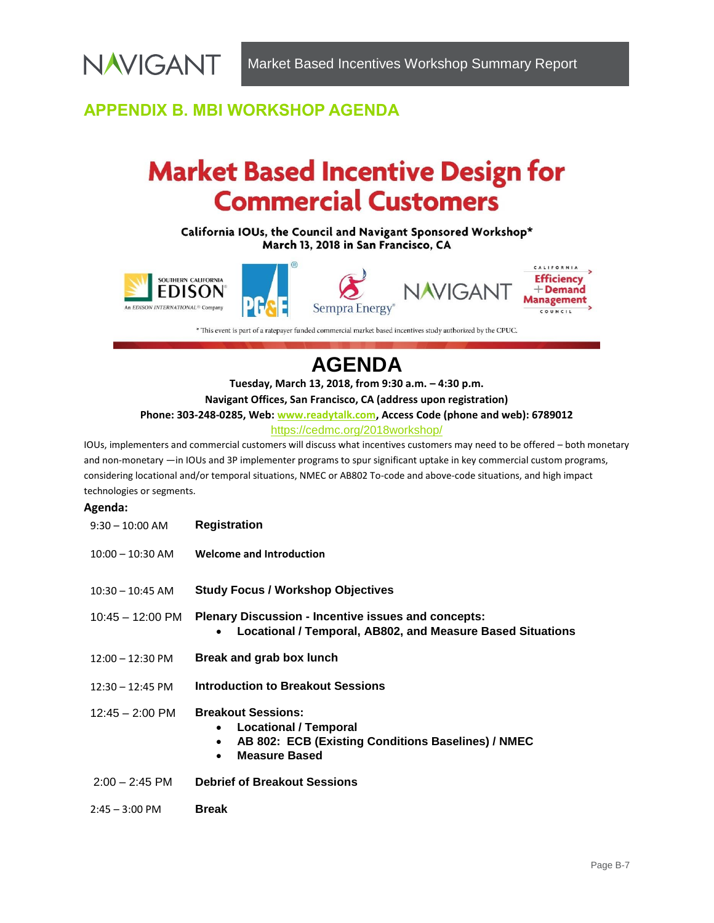## <span id="page-21-0"></span>**APPENDIX B. MBI WORKSHOP AGENDA**

**NAVIGANT** 

# **Market Based Incentive Design for Commercial Customers**

California IOUs, the Council and Navigant Sponsored Workshop\* March 13, 2018 in San Francisco, CA



\* This event is part of a ratepayer funded commercial market based incentives study authorized by the CPUC.

## **AGENDA**

**Tuesday, March 13, 2018, from 9:30 a.m. – 4:30 p.m.**

**Navigant Offices, San Francisco, CA (address upon registration)**

**Phone: 303-248-0285, Web: [www.readytalk.com,](http://www.readytalk.com/) Access Code (phone and web): 6789012**

#### <https://cedmc.org/2018workshop/>

IOUs, implementers and commercial customers will discuss what incentives customers may need to be offered – both monetary and non-monetary —in IOUs and 3P implementer programs to spur significant uptake in key commercial custom programs, considering locational and/or temporal situations, NMEC or AB802 To-code and above-code situations, and high impact technologies or segments.

#### **Agenda:**

| $9:30 - 10:00$ AM          | <b>Registration</b>                                                                                                                                                            |
|----------------------------|--------------------------------------------------------------------------------------------------------------------------------------------------------------------------------|
| $10:00 - 10:30$ AM         | <b>Welcome and Introduction</b>                                                                                                                                                |
| $10:30 - 10:45$ AM         | <b>Study Focus / Workshop Objectives</b>                                                                                                                                       |
| 10:45 – 12:00 PM           | <b>Plenary Discussion - Incentive issues and concepts:</b><br>Locational / Temporal, AB802, and Measure Based Situations                                                       |
| $12:00 - 12:30 \text{ PM}$ | Break and grab box lunch                                                                                                                                                       |
| $12:30 - 12:45 \text{ PM}$ | <b>Introduction to Breakout Sessions</b>                                                                                                                                       |
| $12:45 - 2:00$ PM          | <b>Breakout Sessions:</b><br><b>Locational / Temporal</b><br>$\bullet$<br>AB 802: ECB (Existing Conditions Baselines) / NMEC<br>$\bullet$<br><b>Measure Based</b><br>$\bullet$ |
| $2:00 - 2:45$ PM           | <b>Debrief of Breakout Sessions</b>                                                                                                                                            |
| $2:45 - 3:00 \text{ PM}$   | <b>Break</b>                                                                                                                                                                   |